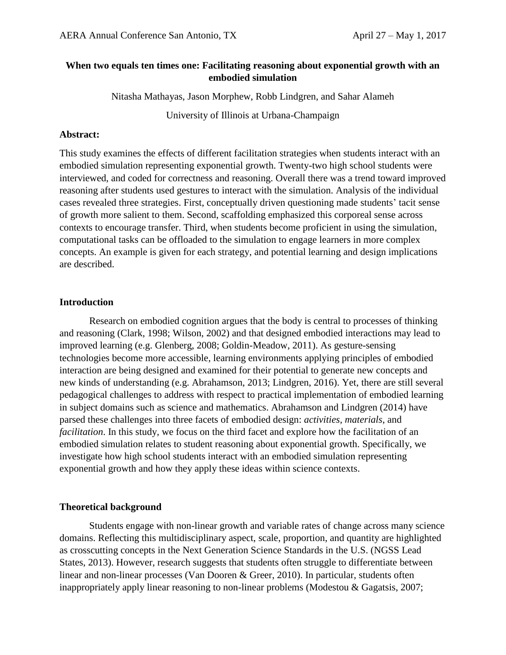# **When two equals ten times one: Facilitating reasoning about exponential growth with an embodied simulation**

Nitasha Mathayas, Jason Morphew, Robb Lindgren, and Sahar Alameh

University of Illinois at Urbana-Champaign

### **Abstract:**

This study examines the effects of different facilitation strategies when students interact with an embodied simulation representing exponential growth. Twenty-two high school students were interviewed, and coded for correctness and reasoning. Overall there was a trend toward improved reasoning after students used gestures to interact with the simulation. Analysis of the individual cases revealed three strategies. First, conceptually driven questioning made students' tacit sense of growth more salient to them. Second, scaffolding emphasized this corporeal sense across contexts to encourage transfer. Third, when students become proficient in using the simulation, computational tasks can be offloaded to the simulation to engage learners in more complex concepts. An example is given for each strategy, and potential learning and design implications are described.

## **Introduction**

Research on embodied cognition argues that the body is central to processes of thinking and reasoning (Clark, 1998; Wilson, 2002) and that designed embodied interactions may lead to improved learning (e.g. Glenberg, 2008; Goldin-Meadow, 2011). As gesture-sensing technologies become more accessible, learning environments applying principles of embodied interaction are being designed and examined for their potential to generate new concepts and new kinds of understanding (e.g. Abrahamson, 2013; Lindgren, 2016). Yet, there are still several pedagogical challenges to address with respect to practical implementation of embodied learning in subject domains such as science and mathematics. Abrahamson and Lindgren (2014) have parsed these challenges into three facets of embodied design: *activities*, *materials*, and *facilitation*. In this study, we focus on the third facet and explore how the facilitation of an embodied simulation relates to student reasoning about exponential growth. Specifically, we investigate how high school students interact with an embodied simulation representing exponential growth and how they apply these ideas within science contexts.

## **Theoretical background**

Students engage with non-linear growth and variable rates of change across many science domains. Reflecting this multidisciplinary aspect, scale, proportion, and quantity are highlighted as crosscutting concepts in the Next Generation Science Standards in the U.S. (NGSS Lead States, 2013). However, research suggests that students often struggle to differentiate between linear and non-linear processes (Van Dooren & Greer, 2010). In particular, students often inappropriately apply linear reasoning to non-linear problems (Modestou & Gagatsis, 2007;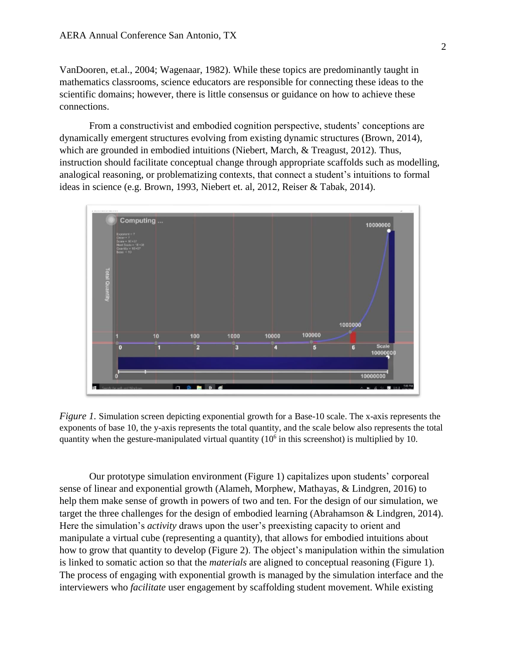VanDooren, et.al., 2004; Wagenaar, 1982). While these topics are predominantly taught in mathematics classrooms, science educators are responsible for connecting these ideas to the scientific domains; however, there is little consensus or guidance on how to achieve these connections.

From a constructivist and embodied cognition perspective, students' conceptions are dynamically emergent structures evolving from existing dynamic structures (Brown, 2014), which are grounded in embodied intuitions (Niebert, March, & Treagust, 2012). Thus, instruction should facilitate conceptual change through appropriate scaffolds such as modelling, analogical reasoning, or problematizing contexts, that connect a student's intuitions to formal ideas in science (e.g. Brown, 1993, Niebert et. al, 2012, Reiser & Tabak, 2014).



*Figure 1.* Simulation screen depicting exponential growth for a Base-10 scale. The x-axis represents the exponents of base 10, the y-axis represents the total quantity, and the scale below also represents the total quantity when the gesture-manipulated virtual quantity  $(10<sup>6</sup>$  in this screenshot) is multiplied by 10.

Our prototype simulation environment (Figure 1) capitalizes upon students' corporeal sense of linear and exponential growth (Alameh, Morphew, Mathayas, & Lindgren, 2016) to help them make sense of growth in powers of two and ten. For the design of our simulation, we target the three challenges for the design of embodied learning (Abrahamson & Lindgren, 2014). Here the simulation's *activity* draws upon the user's preexisting capacity to orient and manipulate a virtual cube (representing a quantity), that allows for embodied intuitions about how to grow that quantity to develop (Figure 2). The object's manipulation within the simulation is linked to somatic action so that the *materials* are aligned to conceptual reasoning (Figure 1). The process of engaging with exponential growth is managed by the simulation interface and the interviewers who *facilitate* user engagement by scaffolding student movement. While existing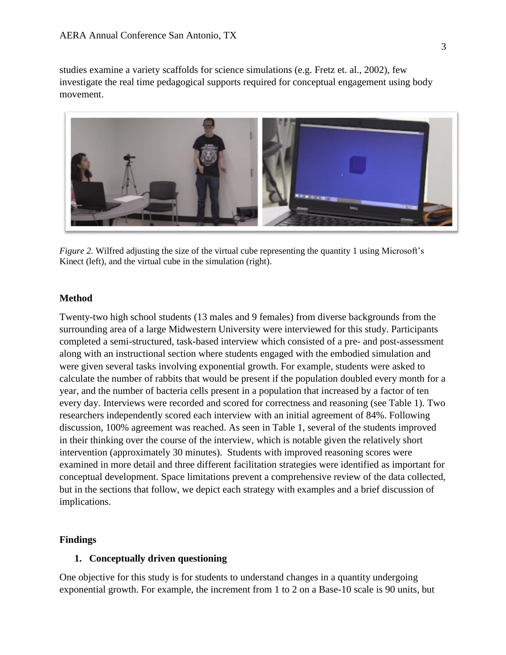studies examine a variety scaffolds for science simulations (e.g. Fretz et. al., 2002), few investigate the real time pedagogical supports required for conceptual engagement using body movement.



*Figure 2.* Wilfred adjusting the size of the virtual cube representing the quantity 1 using Microsoft's Kinect (left), and the virtual cube in the simulation (right).

### **Method**

Twenty-two high school students (13 males and 9 females) from diverse backgrounds from the surrounding area of a large Midwestern University were interviewed for this study. Participants completed a semi-structured, task-based interview which consisted of a pre- and post-assessment along with an instructional section where students engaged with the embodied simulation and were given several tasks involving exponential growth. For example, students were asked to calculate the number of rabbits that would be present if the population doubled every month for a year, and the number of bacteria cells present in a population that increased by a factor of ten every day. Interviews were recorded and scored for correctness and reasoning (see Table 1). Two researchers independently scored each interview with an initial agreement of 84%. Following discussion, 100% agreement was reached. As seen in Table 1, several of the students improved in their thinking over the course of the interview, which is notable given the relatively short intervention (approximately 30 minutes). Students with improved reasoning scores were examined in more detail and three different facilitation strategies were identified as important for conceptual development. Space limitations prevent a comprehensive review of the data collected, but in the sections that follow, we depict each strategy with examples and a brief discussion of implications.

## **Findings**

#### **1. Conceptually driven questioning**

One objective for this study is for students to understand changes in a quantity undergoing exponential growth. For example, the increment from 1 to 2 on a Base-10 scale is 90 units, but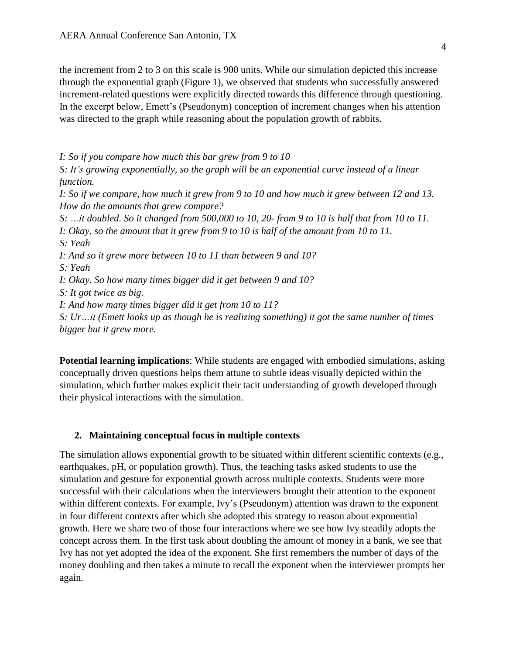the increment from 2 to 3 on this scale is 900 units. While our simulation depicted this increase through the exponential graph (Figure 1), we observed that students who successfully answered increment-related questions were explicitly directed towards this difference through questioning. In the excerpt below, Emett's (Pseudonym) conception of increment changes when his attention was directed to the graph while reasoning about the population growth of rabbits.

*I: So if you compare how much this bar grew from 9 to 10*

*S: It's growing exponentially, so the graph will be an exponential curve instead of a linear function.*

I: So if we compare, how much it grew from 9 to 10 and how much it grew between 12 and 13. *How do the amounts that grew compare?*

S: ...it doubled. So it changed from 500,000 to 10, 20-from 9 to 10 is half that from 10 to 11. I: Okay, so the amount that it grew from 9 to 10 is half of the amount from 10 to 11. *S: Yeah*

*I: And so it grew more between 10 to 11 than between 9 and 10?*

*S: Yeah*

*I: Okay. So how many times bigger did it get between 9 and 10?*

*S: It got twice as big.*

*I: And how many times bigger did it get from 10 to 11?*

*S: Ur…it (Emett looks up as though he is realizing something) it got the same number of times bigger but it grew more.*

**Potential learning implications**: While students are engaged with embodied simulations, asking conceptually driven questions helps them attune to subtle ideas visually depicted within the simulation, which further makes explicit their tacit understanding of growth developed through their physical interactions with the simulation.

#### **2. Maintaining conceptual focus in multiple contexts**

The simulation allows exponential growth to be situated within different scientific contexts (e.g., earthquakes, pH, or population growth). Thus, the teaching tasks asked students to use the simulation and gesture for exponential growth across multiple contexts. Students were more successful with their calculations when the interviewers brought their attention to the exponent within different contexts. For example, Ivy's (Pseudonym) attention was drawn to the exponent in four different contexts after which she adopted this strategy to reason about exponential growth. Here we share two of those four interactions where we see how Ivy steadily adopts the concept across them. In the first task about doubling the amount of money in a bank, we see that Ivy has not yet adopted the idea of the exponent. She first remembers the number of days of the money doubling and then takes a minute to recall the exponent when the interviewer prompts her again.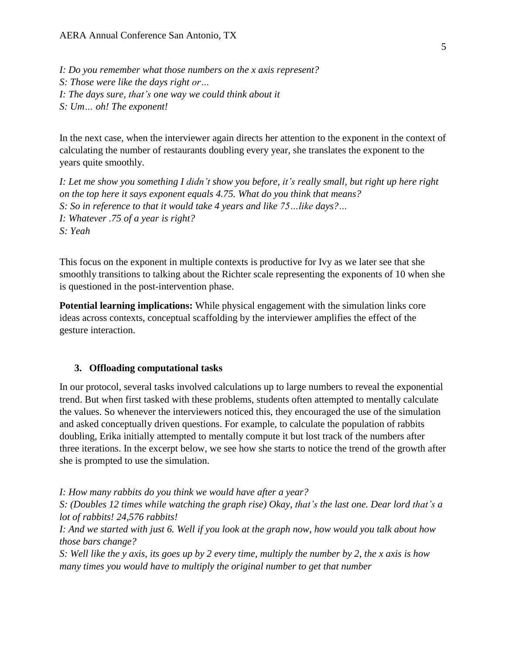*I: Do you remember what those numbers on the x axis represent? S: Those were like the days right or… I: The days sure, that's one way we could think about it S: Um… oh! The exponent!*

In the next case, when the interviewer again directs her attention to the exponent in the context of calculating the number of restaurants doubling every year, she translates the exponent to the years quite smoothly.

I: Let me show you something I didn't show you before, it's really small, but right up here right *on the top here it says exponent equals 4.75. What do you think that means? S: So in reference to that it would take 4 years and like 75…like days?… I: Whatever .75 of a year is right? S: Yeah*

This focus on the exponent in multiple contexts is productive for Ivy as we later see that she smoothly transitions to talking about the Richter scale representing the exponents of 10 when she is questioned in the post-intervention phase.

**Potential learning implications:** While physical engagement with the simulation links core ideas across contexts, conceptual scaffolding by the interviewer amplifies the effect of the gesture interaction.

#### **3. Offloading computational tasks**

In our protocol, several tasks involved calculations up to large numbers to reveal the exponential trend. But when first tasked with these problems, students often attempted to mentally calculate the values. So whenever the interviewers noticed this, they encouraged the use of the simulation and asked conceptually driven questions. For example, to calculate the population of rabbits doubling, Erika initially attempted to mentally compute it but lost track of the numbers after three iterations. In the excerpt below, we see how she starts to notice the trend of the growth after she is prompted to use the simulation.

*I: How many rabbits do you think we would have after a year?*

*S: (Doubles 12 times while watching the graph rise) Okay, that's the last one. Dear lord that's a lot of rabbits! 24,576 rabbits!*

I: And we started with just 6. Well if you look at the graph now, how would you talk about how *those bars change?*

S: Well like the y axis, its goes up by 2 every time, multiply the number by 2, the x axis is how *many times you would have to multiply the original number to get that number*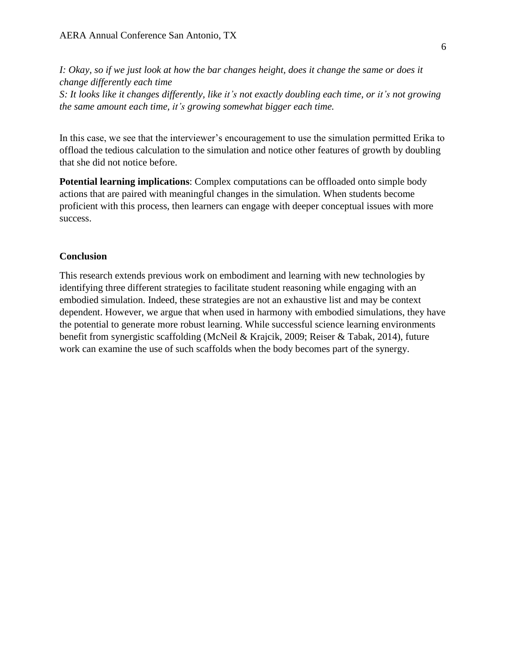I: Okay, so if we just look at how the bar changes height, does it change the same or does it *change differently each time* S: It looks like it changes differently, like it's not exactly doubling each time, or it's not growing *the same amount each time, it's growing somewhat bigger each time.*

In this case, we see that the interviewer's encouragement to use the simulation permitted Erika to offload the tedious calculation to the simulation and notice other features of growth by doubling that she did not notice before.

**Potential learning implications**: Complex computations can be offloaded onto simple body actions that are paired with meaningful changes in the simulation. When students become proficient with this process, then learners can engage with deeper conceptual issues with more success.

#### **Conclusion**

This research extends previous work on embodiment and learning with new technologies by identifying three different strategies to facilitate student reasoning while engaging with an embodied simulation. Indeed, these strategies are not an exhaustive list and may be context dependent. However, we argue that when used in harmony with embodied simulations, they have the potential to generate more robust learning. While successful science learning environments benefit from synergistic scaffolding (McNeil & Krajcik, 2009; Reiser & Tabak, 2014), future work can examine the use of such scaffolds when the body becomes part of the synergy.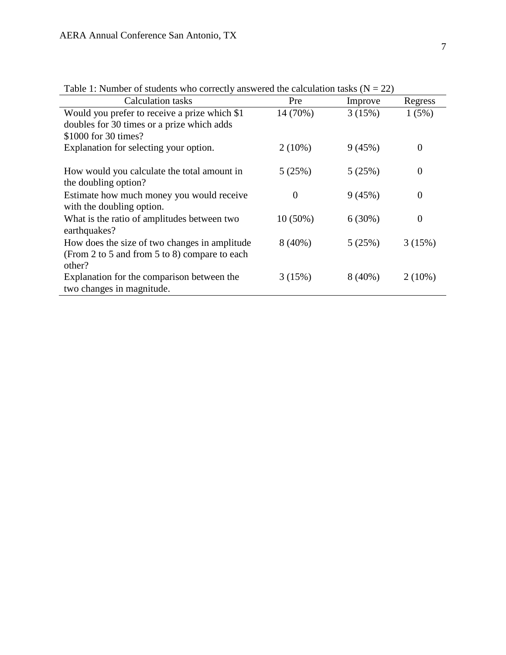| $\frac{1}{2}$                                 |            |           |                |
|-----------------------------------------------|------------|-----------|----------------|
| <b>Calculation tasks</b>                      | Pre        | Improve   | Regress        |
| Would you prefer to receive a prize which \$1 | 14 (70%)   | 3(15%)    | 1(5%)          |
| doubles for 30 times or a prize which adds    |            |           |                |
| \$1000 for 30 times?                          |            |           |                |
| Explanation for selecting your option.        | $2(10\%)$  | 9(45%)    | $\overline{0}$ |
|                                               |            |           |                |
| How would you calculate the total amount in   | 5(25%)     | 5(25%)    | $\overline{0}$ |
| the doubling option?                          |            |           |                |
| Estimate how much money you would receive     | $\theta$   | 9(45%)    | $\theta$       |
| with the doubling option.                     |            |           |                |
|                                               |            |           |                |
| What is the ratio of amplitudes between two   | $10(50\%)$ | 6(30%)    | $\overline{0}$ |
| earthquakes?                                  |            |           |                |
| How does the size of two changes in amplitude | $8(40\%)$  | 5(25%)    | 3(15%)         |
| (From 2 to 5 and from 5 to 8) compare to each |            |           |                |
| other?                                        |            |           |                |
| Explanation for the comparison between the    | 3(15%)     | $8(40\%)$ | $2(10\%)$      |
| two changes in magnitude.                     |            |           |                |
|                                               |            |           |                |

Table 1: Number of students who correctly answered the calculation tasks  $(N = 22)$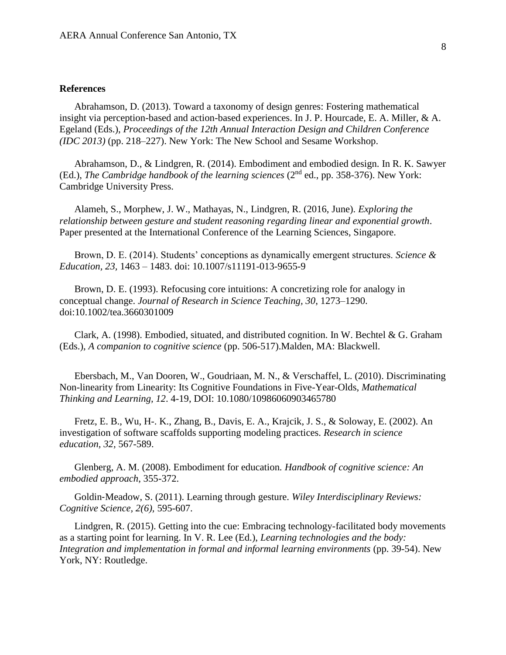#### **References**

Abrahamson, D. (2013). Toward a taxonomy of design genres: Fostering mathematical insight via perception-based and action-based experiences. In J. P. Hourcade, E. A. Miller, & A. Egeland (Eds.), *Proceedings of the 12th Annual Interaction Design and Children Conference (IDC 2013)* (pp. 218–227). New York: The New School and Sesame Workshop.

Abrahamson, D., & Lindgren, R. (2014). Embodiment and embodied design. In R. K. Sawyer (Ed.), *The Cambridge handbook of the learning sciences* (2<sup>nd</sup> ed., pp. 358-376). New York: Cambridge University Press.

Alameh, S., Morphew, J. W., Mathayas, N., Lindgren, R. (2016, June). *Exploring the relationship between gesture and student reasoning regarding linear and exponential growth*. Paper presented at the International Conference of the Learning Sciences, Singapore.

Brown, D. E. (2014). Students' conceptions as dynamically emergent structures. *Science & Education, 23,* 1463 – 1483. doi: 10.1007/s11191-013-9655-9

Brown, D. E. (1993). Refocusing core intuitions: A concretizing role for analogy in conceptual change. *Journal of Research in Science Teaching, 30*, 1273–1290. doi:10.1002/tea.3660301009

Clark, A. (1998). Embodied, situated, and distributed cognition. In W. Bechtel & G. Graham (Eds.), *A companion to cognitive science* (pp. 506-517).Malden, MA: Blackwell.

Ebersbach, M., Van Dooren, W., Goudriaan, M. N., & Verschaffel, L. (2010). Discriminating Non-linearity from Linearity: Its Cognitive Foundations in Five-Year-Olds, *Mathematical Thinking and Learning, 12*. 4-19, DOI: 10.1080/10986060903465780

Fretz, E. B., Wu, H-. K., Zhang, B., Davis, E. A., Krajcik, J. S., & Soloway, E. (2002). An investigation of software scaffolds supporting modeling practices. *Research in science education, 32,* 567-589.

Glenberg, A. M. (2008). Embodiment for education*. Handbook of cognitive science: An embodied approach*, 355-372.

Goldin‐Meadow, S. (2011). Learning through gesture. *Wiley Interdisciplinary Reviews: Cognitive Science, 2(6),* 595-607.

Lindgren, R. (2015). Getting into the cue: Embracing technology-facilitated body movements as a starting point for learning. In V. R. Lee (Ed.), *Learning technologies and the body: Integration and implementation in formal and informal learning environments* (pp. 39-54). New York, NY: Routledge.